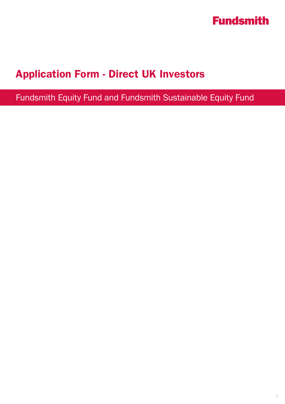

## Application Form - Direct UK Investors

Fundsmith Equity Fund and Fundsmith Sustainable Equity Fund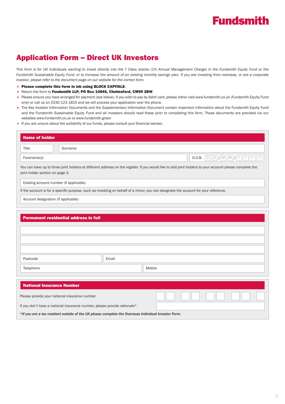## Application Form – Direct UK Investors

This form is for UK individuals wanting to invest directly into the T Class shares (1% Annual Management Charge) in the Fundsmith Equity Fund or the *Fundsmith Sustainable Equity Fund, or to increase the amount of an existing monthly savings plan. If you are investing from overseas, or are a corporate investor, please refer to the document page on our website for the correct form.*

- Please complete this form in ink using BLOCK CAPITALS.
- Return the form to Fundsmith LLP, PO Box 10846, Chelmsford, CM99 2BW.
- Please ensure you have arranged for payment (see below). If you wish to pay by debit card, please either visit www.fundsmith.co.uk (Fundsmith Equity Fund only) or call us on 0330 123 1815 and we will process your application over the phone.
- The Key Investor Information Documents and the Supplementary Information Document contain important information about the Fundsmith Equity Fund and the Fundsmith Sustainable Equity Fund and all investors should read these prior to completing this form. These documents are provided via our websites www.fundsmith.co.uk or www.fundsmith.green
- If you are unsure about the suitability of our funds, please consult your financial adviser.

| <b>Name of holder</b>                                                                                                                                                                      |       |        |                                                  |
|--------------------------------------------------------------------------------------------------------------------------------------------------------------------------------------------|-------|--------|--------------------------------------------------|
| Title<br>Surname                                                                                                                                                                           |       |        |                                                  |
| Forename(s)                                                                                                                                                                                |       |        | $D   D   / M   M   / Y   Y   Y$<br>l Y<br>D.O.B. |
| You can have up to three joint holders at different address on the register. If you would like to add joint holders to your account please complete the<br>joint holder section on page 3. |       |        |                                                  |
| Existing account number (if applicable)                                                                                                                                                    |       |        |                                                  |
| If the account is for a specific purpose, such as investing on behalf of a minor, you can designate the account for your reference.                                                        |       |        |                                                  |
| Account designation (if applicable)                                                                                                                                                        |       |        |                                                  |
| <b>Permanent residential address in full</b><br>Postcode                                                                                                                                   | Email |        |                                                  |
| Telephone                                                                                                                                                                                  |       | Mobile |                                                  |
|                                                                                                                                                                                            |       |        |                                                  |
| <b>National Insurance Number</b>                                                                                                                                                           |       |        |                                                  |
| Please provide your national insurance number                                                                                                                                              |       |        |                                                  |
| If you don't have a national insurance number, please provide rationale*                                                                                                                   |       |        |                                                  |
| *If you are a tax resident outside of the UK please complete the Overseas Individual Investor Form.                                                                                        |       |        |                                                  |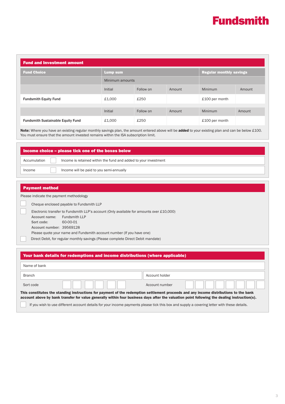| <b>Fund and Investment amount</b>        |                 |                 |        |                |                                |  |
|------------------------------------------|-----------------|-----------------|--------|----------------|--------------------------------|--|
| <b>Fund Choice</b>                       | <b>Lump sum</b> |                 |        |                | <b>Regular monthly savings</b> |  |
|                                          |                 | Minimum amounts |        |                |                                |  |
|                                          | Initial         | Follow on       | Amount | Minimum        | Amount                         |  |
| <b>Fundsmith Equity Fund</b>             | £1,000          | £250            |        | £100 per month |                                |  |
|                                          | Initial         | Follow on       | Amount | Minimum        |                                |  |
|                                          |                 |                 |        |                | Amount                         |  |
| <b>Fundsmith Sustainable Equity Fund</b> | £1,000          | £250            |        | £100 per month |                                |  |

Note: Where you have an existing regular monthly savings plan, the amount entered above will be added to your existing plan and can be below £100. You must ensure that the amount invested remains within the ISA subscription limit.

| $\blacksquare$ Income choice – please tick one of the boxes below $\blacksquare$ |  |                                                                 |
|----------------------------------------------------------------------------------|--|-----------------------------------------------------------------|
| Accumulation                                                                     |  | Income is retained within the fund and added to your investment |
| Income                                                                           |  | Income will be paid to you semi-annually                        |

### Payment method

Please indicate the payment methodology

Cheque enclosed payable to Fundsmith LLP

|                             | Electronic transfer to Fundsmith LLP's account (Only available for amounts over £10,000) |
|-----------------------------|------------------------------------------------------------------------------------------|
| Account name: Fundsmith LLP |                                                                                          |
| Sort code:                  | 60-00-01                                                                                 |
| Account number: 39569128    |                                                                                          |
|                             | Please quote your name and Fundsmith account number (If you have one)                    |
|                             |                                                                                          |

Direct Debit, for regular monthly savings (Please complete Direct Debit mandate)

| Your bank details for redemptions and income distributions (where applicable)                                                         |                                                                                                                                              |
|---------------------------------------------------------------------------------------------------------------------------------------|----------------------------------------------------------------------------------------------------------------------------------------------|
| Name of bank                                                                                                                          |                                                                                                                                              |
| <b>Branch</b>                                                                                                                         | Account holder                                                                                                                               |
| Sort code                                                                                                                             | Account number                                                                                                                               |
| This constitutes the standing instructions for payment of the redemption settlement proceeds and any income distributions to the bank | account above by bank transfer for value generally within four business days after the valuation point following the dealing instruction(s). |
|                                                                                                                                       | If you wish to use different account details for your income payments please tick this box and supply a covering letter with these details.  |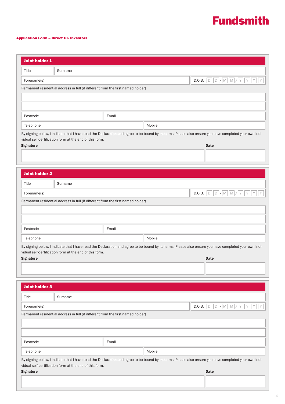### Application Form – Direct UK Investors

|                       | <b>Joint holder 1</b>                                                            |       |        |                                                                                                                                                                                                      |
|-----------------------|----------------------------------------------------------------------------------|-------|--------|------------------------------------------------------------------------------------------------------------------------------------------------------------------------------------------------------|
| Title                 | Surname                                                                          |       |        |                                                                                                                                                                                                      |
| Forename(s)           |                                                                                  |       |        | D.O.B. $D/D/M M/M Y Y Y Y$                                                                                                                                                                           |
|                       | Permanent residential address in full (if different from the first named holder) |       |        |                                                                                                                                                                                                      |
|                       |                                                                                  |       |        |                                                                                                                                                                                                      |
|                       |                                                                                  |       |        |                                                                                                                                                                                                      |
| Postcode              |                                                                                  | Email |        |                                                                                                                                                                                                      |
| Telephone             |                                                                                  |       | Mobile |                                                                                                                                                                                                      |
|                       |                                                                                  |       |        | By signing below, I indicate that I have read the Declaration and agree to be bound by its terms. Please also ensure you have completed your own indi-                                               |
| <b>Signature</b>      | vidual self-certification form at the end of this form.                          |       |        | <b>Date</b>                                                                                                                                                                                          |
|                       |                                                                                  |       |        |                                                                                                                                                                                                      |
|                       |                                                                                  |       |        |                                                                                                                                                                                                      |
|                       |                                                                                  |       |        |                                                                                                                                                                                                      |
| <b>Joint holder 2</b> |                                                                                  |       |        |                                                                                                                                                                                                      |
| Title                 | Surname                                                                          |       |        |                                                                                                                                                                                                      |
| Forename(s)           |                                                                                  |       | D.O.B. | $D   D   / M   M   / Y   Y   Y   Y$                                                                                                                                                                  |
|                       | Permanent residential address in full (if different from the first named holder) |       |        |                                                                                                                                                                                                      |
|                       |                                                                                  |       |        |                                                                                                                                                                                                      |
|                       |                                                                                  |       |        |                                                                                                                                                                                                      |
|                       |                                                                                  |       |        |                                                                                                                                                                                                      |
| Postcode              |                                                                                  | Email |        |                                                                                                                                                                                                      |
| Telephone             |                                                                                  |       | Mobile |                                                                                                                                                                                                      |
|                       |                                                                                  |       |        | By signing below, I indicate that I have read the Declaration and agree to be bound by its terms. Please also ensure you have completed your own indi-                                               |
|                       | vidual self-certification form at the end of this form.                          |       |        |                                                                                                                                                                                                      |
| <b>Signature</b>      |                                                                                  |       |        | <b>Date</b>                                                                                                                                                                                          |
|                       |                                                                                  |       |        |                                                                                                                                                                                                      |
|                       |                                                                                  |       |        |                                                                                                                                                                                                      |
| <b>Joint holder 3</b> |                                                                                  |       |        |                                                                                                                                                                                                      |
| Title                 | Surname                                                                          |       |        |                                                                                                                                                                                                      |
| Forename(s)           |                                                                                  |       |        |                                                                                                                                                                                                      |
|                       | Permanent residential address in full (if different from the first named holder) |       |        |                                                                                                                                                                                                      |
|                       |                                                                                  |       |        |                                                                                                                                                                                                      |
|                       |                                                                                  |       |        |                                                                                                                                                                                                      |
| Postcode              |                                                                                  | Email |        |                                                                                                                                                                                                      |
| Telephone             |                                                                                  |       | Mobile |                                                                                                                                                                                                      |
|                       |                                                                                  |       |        | D.O.B. $D   D   / M   M   / Y   Y   Y   Y$<br>By signing below, I indicate that I have read the Declaration and agree to be bound by its terms. Please also ensure you have completed your own indi- |
|                       | vidual self-certification form at the end of this form.                          |       |        |                                                                                                                                                                                                      |
| <b>Signature</b>      |                                                                                  |       |        | <b>Date</b>                                                                                                                                                                                          |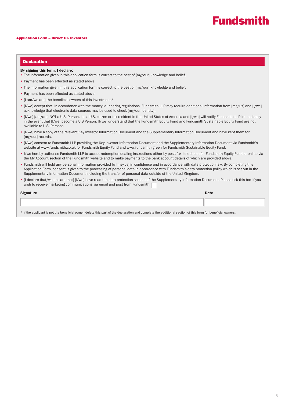#### Application Form – Direct UK Investors

#### Declaration

#### By signing this form, I declare:

- The information given in this application form is correct to the best of [my/our] knowledge and belief.
- Payment has been effected as stated above.
- The information given in this application form is correct to the best of [my/our] knowledge and belief.
- Payment has been effected as stated above.
- [I am/we are] the beneficial owners of this investment.\*
- [I/we] accept that, in accordance with the money laundering regulations, Fundsmith LLP may require additional information from [me/us] and [I/we] acknowledge that electronic data sources may be used to check [my/our identity].
- [I/we] [am/are] NOT a U.S. Person, i.e. a U.S. citizen or tax resident in the United States of America and [I/we] will notify Fundsmith LLP immediately in the event that [I/we] become a U.S Person. [I/we] understand that the Fundsmith Equity Fund and Fundsmith Sustainable Equity Fund are not available to U.S. Persons.
- [I/we] have a copy of the relevant Key Investor Information Document and the Supplementary Information Document and have kept them for [my/our] records.
- [I/we] consent to Fundsmith LLP providing the Key Investor Information Document and the Supplementary Information Document via Fundsmith's website at www.fundsmith.co.uk for Fundsmith Equity Fund and www.fundsmith.green for Fundsmith Sustainable Equity Fund.
- I/we hereby authorise Fundsmith LLP to accept redemption dealing instructions either by post, fax, telephone for Fundsmith Equity Fund or online via the My Account section of the Fundsmith website and to make payments to the bank account details of which are provided above.
- Fundsmith will hold any personal information provided by [me/us] in confidence and in accordance with data protection law. By completing this Application Form, consent is given to the processing of personal data in accordance with Fundsmith's data protection policy which is set out in the Supplementary Information Document including the transfer of personal data outside of the United Kingdom.
- [I declare that/we declare that] [I/we] have read the data protection section of the Supplementary Information Document. Please tick this box if you wish to receive marketing communications via email and post from Fundsmith.

| Signature                                                                                                                                                   | Date |
|-------------------------------------------------------------------------------------------------------------------------------------------------------------|------|
|                                                                                                                                                             |      |
| * If the applicant is not the beneficial owner, delete this part of the declaration and complete the additional section of this form for beneficial owners. |      |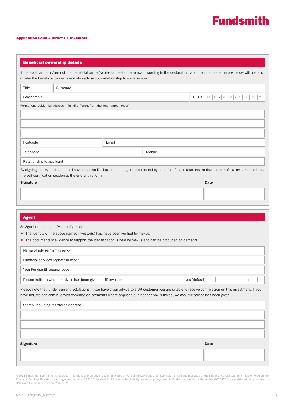#### Application Form – Direct UK Investors

#### Beneficial ownership details

T.

If the applicant(s) is/are not the beneficial owner(s) please delete the relevant wording in the declaration, and then complete the box below with details of who the beneficial owner is and also advise your relationship to such person.

| Title                     | Surname                                                                          |       |        |                                                                                                                                                          |
|---------------------------|----------------------------------------------------------------------------------|-------|--------|----------------------------------------------------------------------------------------------------------------------------------------------------------|
| Forename(s)               |                                                                                  |       |        | D.O.B. $D  D  M  M  N Y  Y  Y  Y$                                                                                                                        |
|                           | Permanent residential address in full (if different from the first named holder) |       |        |                                                                                                                                                          |
|                           |                                                                                  |       |        |                                                                                                                                                          |
|                           |                                                                                  |       |        |                                                                                                                                                          |
|                           |                                                                                  |       |        |                                                                                                                                                          |
|                           |                                                                                  |       |        |                                                                                                                                                          |
| Postcode                  |                                                                                  | Email |        |                                                                                                                                                          |
| Telephone                 |                                                                                  |       | Mobile |                                                                                                                                                          |
| Relationship to applicant |                                                                                  |       |        |                                                                                                                                                          |
|                           | the self-certification section at the end of this form.                          |       |        | By signing below, I indicate that I have read the Declaration and agree to be bound by its terms. Please also ensure that the beneficial owner completes |

Signature Date of the Date of the Date of the Date of the Date of the Date of the Date of the Date of the Date o

Ī

### Agent

As Agent on the deal, I/we certify that:

- The identity of the above named investor(s) has/have been verified by me/us.
- The documentary evidence to support the identification is held by me/us and can be produced on demand.

| Name of adviser/firm/agency                                                                                                                                                                                                                                                               |               |    |  |
|-------------------------------------------------------------------------------------------------------------------------------------------------------------------------------------------------------------------------------------------------------------------------------------------|---------------|----|--|
| Financial services register number                                                                                                                                                                                                                                                        |               |    |  |
| Your Fundsmith agency code                                                                                                                                                                                                                                                                |               |    |  |
| Please indicate whether advice has been given to UK investor                                                                                                                                                                                                                              | yes (default) | no |  |
| Please note that, under current regulations, if you have given advice to a UK customer you are unable to receive commission on this investment. If you<br>have not, we can continue with commission payments where applicable. If neither box is ticked, we assume advice has been given. |               |    |  |

| Stamp (including registered address) |             |
|--------------------------------------|-------------|
|                                      |             |
|                                      |             |
|                                      |             |
| <b>Signature</b>                     | <b>Date</b> |
|                                      |             |
|                                      |             |

©2021 Fundsmith LLP. All rights reserved. This financial promotion is communicated by Fundsmith LLP. Fundsmith LLP is authorised and regulated by the Financial Conduct Authority. It is entered on the Financial Services Register under registered number 523102. Fundsmith LLP is a limited liability partnership registered in England and Wales with number 0C354233. Its registered office address is 33 Cavendish Square, London, W1G 0PW.